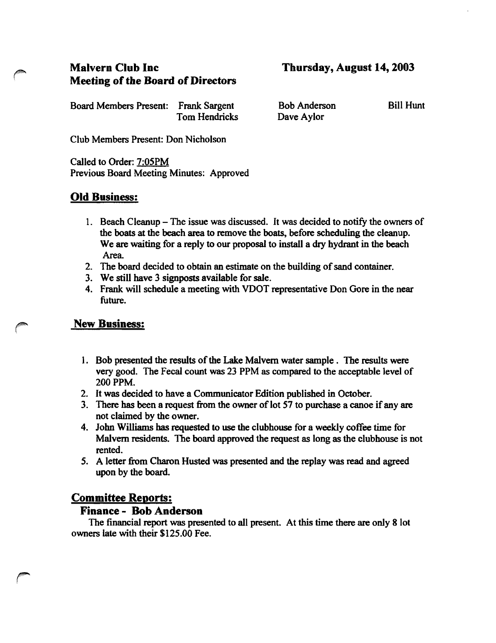# **Malvern Club Inc Meeting of the Board of Directors**

**Thursday, August 14, 2003**

Board Members Present: Frank Sargent Tom Hendricks

Bob Anderson Dave Aylor

Bill Hunt

Club Members Present: Don Nicholson

Called to Order: 7:05PM Previous Board Meeting Minutes: Approved

## **Old Business:**

- 1. Beach Cleanup The issue was discussed. It was decided to notify the owners of the boats at the beach area to remove the boats, before scheduling the cleanup. We are waiting for a reply to our proposal to install a dry hydrant in the beach Area.
- 2. The board decided to obtain an estimate on the building of sand container.
- 3. We still have 3 signposts available for sale.
- 4. Frank will schedule a meeting with VDOT representative Don Gore in the near future.

#### **New Business:**

- 1. Bob presented the results of the Lake Malvern water sample. The results were very good. The Fecal count was 23 PPM as compared to the acceptable level of 200 PPM.
- 2. It was decided to have a Communicator Edition published in October.
- 3. There has been a request from the owner of lot 57 to purchase a canoe if any are not claimed by the owner.
- 4. John Williams has requested to use the clubhouse for a weekly coffee time for Malvern residents. The board approved the request as long as the clubhouse is not rented.
- 5. A letter from Charon Husted was presented and the replay was read and agreed upon by the board

### **Committee Reports:**

#### **Finance - Bob Anderson**

The financial report was presented to all present. At this time there are only 8 lot owners late with their \$125.00 Fee.